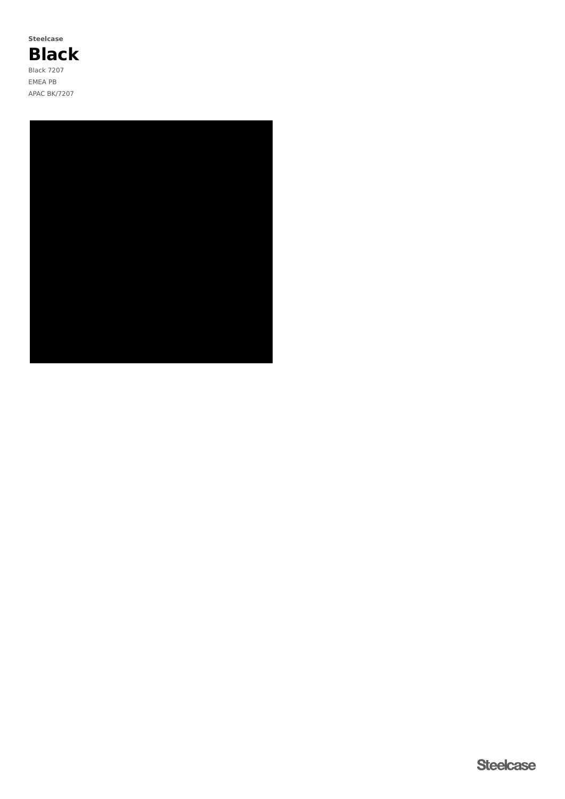**Black** Black 7207 EMEA PB APAC BK/7207 **Steelcase**

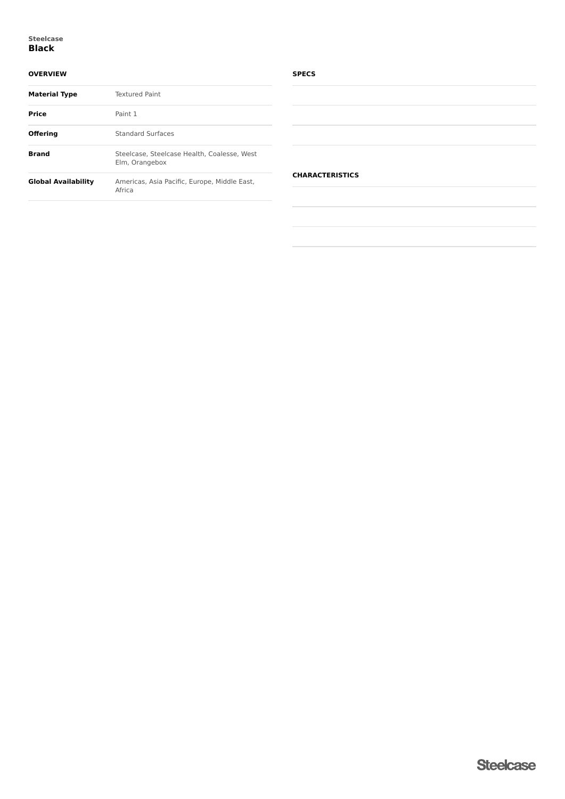## **OVERVIEW**

| <b>Material Type</b> | <b>Textured Paint</b>                                         |
|----------------------|---------------------------------------------------------------|
| Price                | Paint 1                                                       |
| Offering             | <b>Standard Surfaces</b>                                      |
| <b>Brand</b>         | Steelcase, Steelcase Health, Coalesse, West<br>Elm, Orangebox |
| Global Availability  | Americas, Asia Pacific, Europe, Middle East,<br>Africa        |

## **SPECS**

|        | the control of the control of the control of the control of the control of the control of                                                                                                                                     |  | $\sim$                            |
|--------|-------------------------------------------------------------------------------------------------------------------------------------------------------------------------------------------------------------------------------|--|-----------------------------------|
|        | the control of the control of the control of the control of the control of the control of the control of the control of the control of the control of the control of the control of the control of the control of the control |  | the control of the control of the |
|        |                                                                                                                                                                                                                               |  |                                   |
| $\sim$ |                                                                                                                                                                                                                               |  |                                   |
|        |                                                                                                                                                                                                                               |  |                                   |

# **CHARACTERISTICS**